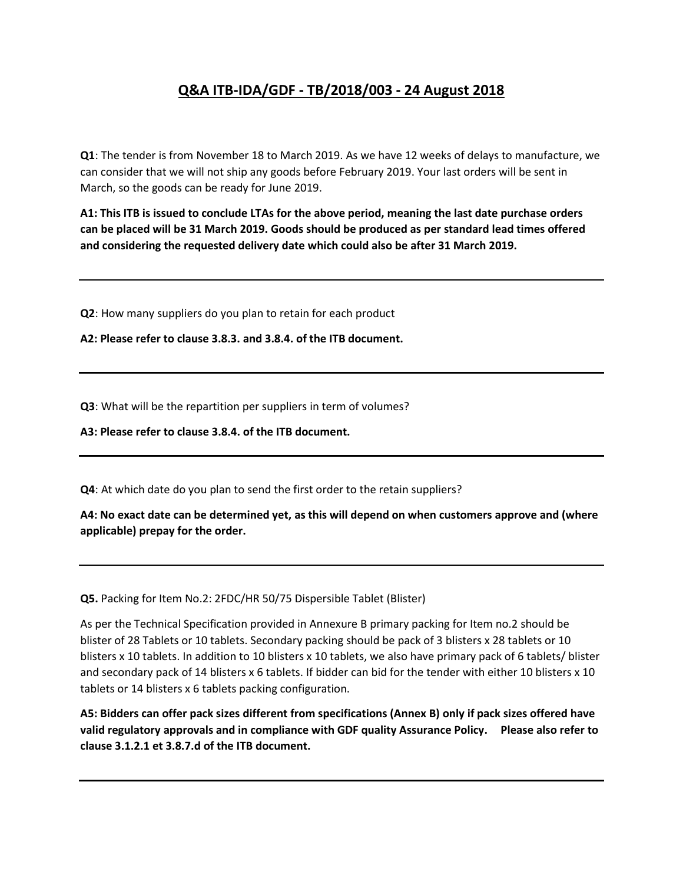## **Q&A ITB-IDA/GDF - TB/2018/003 - 24 August 2018**

**Q1**: The tender is from November 18 to March 2019. As we have 12 weeks of delays to manufacture, we can consider that we will not ship any goods before February 2019. Your last orders will be sent in March, so the goods can be ready for June 2019.

**A1: This ITB is issued to conclude LTAs for the above period, meaning the last date purchase orders can be placed will be 31 March 2019. Goods should be produced as per standard lead times offered and considering the requested delivery date which could also be after 31 March 2019.**

**Q2**: How many suppliers do you plan to retain for each product

**A2: Please refer to clause 3.8.3. and 3.8.4. of the ITB document.**

**Q3**: What will be the repartition per suppliers in term of volumes?

**A3: Please refer to clause 3.8.4. of the ITB document.**

**Q4**: At which date do you plan to send the first order to the retain suppliers?

**A4: No exact date can be determined yet, as this will depend on when customers approve and (where applicable) prepay for the order.**

**Q5.** Packing for Item No.2: 2FDC/HR 50/75 Dispersible Tablet (Blister)

As per the Technical Specification provided in Annexure B primary packing for Item no.2 should be blister of 28 Tablets or 10 tablets. Secondary packing should be pack of 3 blisters x 28 tablets or 10 blisters x 10 tablets. In addition to 10 blisters x 10 tablets, we also have primary pack of 6 tablets/ blister and secondary pack of 14 blisters x 6 tablets. If bidder can bid for the tender with either 10 blisters x 10 tablets or 14 blisters x 6 tablets packing configuration.

**A5: Bidders can offer pack sizes different from specifications (Annex B) only if pack sizes offered have valid regulatory approvals and in compliance with GDF quality Assurance Policy. Please also refer to clause 3.1.2.1 et 3.8.7.d of the ITB document.**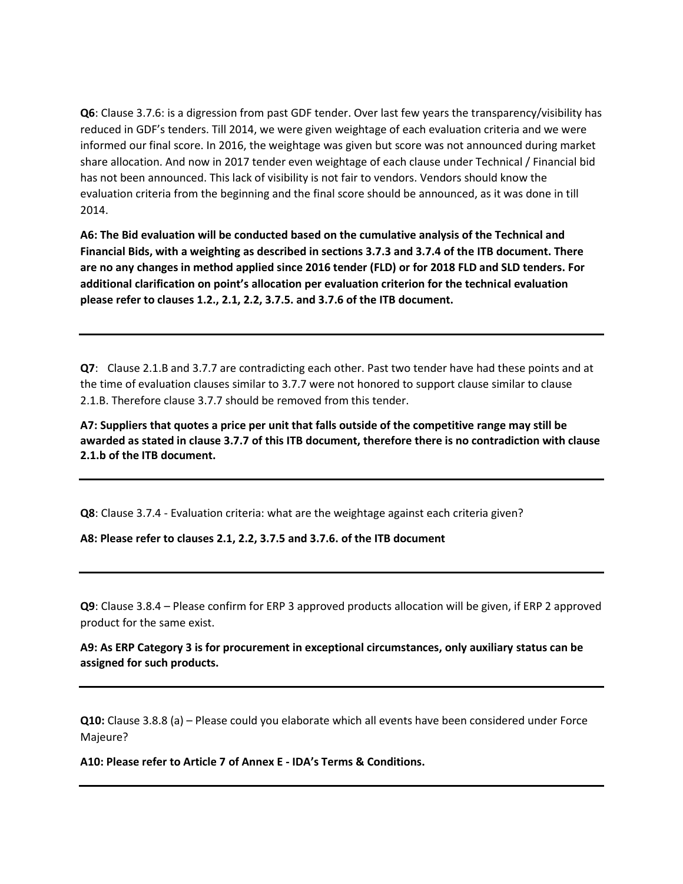**Q6**: Clause 3.7.6: is a digression from past GDF tender. Over last few years the transparency/visibility has reduced in GDF's tenders. Till 2014, we were given weightage of each evaluation criteria and we were informed our final score. In 2016, the weightage was given but score was not announced during market share allocation. And now in 2017 tender even weightage of each clause under Technical / Financial bid has not been announced. This lack of visibility is not fair to vendors. Vendors should know the evaluation criteria from the beginning and the final score should be announced, as it was done in till 2014.

**A6: The Bid evaluation will be conducted based on the cumulative analysis of the Technical and Financial Bids, with a weighting as described in sections 3.7.3 and 3.7.4 of the ITB document. There are no any changes in method applied since 2016 tender (FLD) or for 2018 FLD and SLD tenders. For additional clarification on point's allocation per evaluation criterion for the technical evaluation please refer to clauses 1.2., 2.1, 2.2, 3.7.5. and 3.7.6 of the ITB document.**

**Q7**: Clause 2.1.B and 3.7.7 are contradicting each other. Past two tender have had these points and at the time of evaluation clauses similar to 3.7.7 were not honored to support clause similar to clause 2.1.B. Therefore clause 3.7.7 should be removed from this tender.

**A7: Suppliers that quotes a price per unit that falls outside of the competitive range may still be awarded as stated in clause 3.7.7 of this ITB document, therefore there is no contradiction with clause 2.1.b of the ITB document.**

**Q8**: Clause 3.7.4 - Evaluation criteria: what are the weightage against each criteria given?

**A8: Please refer to clauses 2.1, 2.2, 3.7.5 and 3.7.6. of the ITB document**

**Q9**: Clause 3.8.4 – Please confirm for ERP 3 approved products allocation will be given, if ERP 2 approved product for the same exist.

**A9: As ERP Category 3 is for procurement in exceptional circumstances, only auxiliary status can be assigned for such products.**

**Q10:** Clause 3.8.8 (a) – Please could you elaborate which all events have been considered under Force Majeure?

**A10: Please refer to Article 7 of Annex E - IDA's Terms & Conditions.**